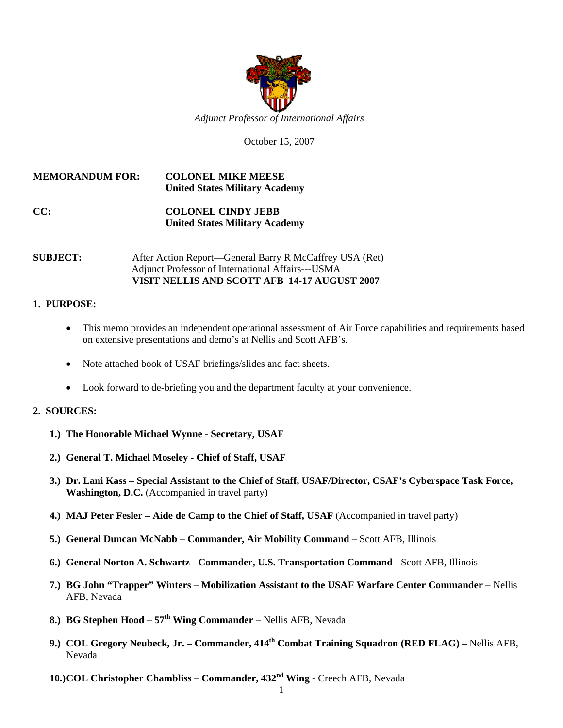

October 15, 2007

## **MEMORANDUM FOR: COLONEL MIKE MEESE United States Military Academy**

# **CC: COLONEL CINDY JEBB United States Military Academy**

#### **SUBJECT:** After Action Report—General Barry R McCaffrey USA (Ret) Adjunct Professor of International Affairs---USMA **VISIT NELLIS AND SCOTT AFB 14-17 AUGUST 2007**

## **1. PURPOSE:**

- This memo provides an independent operational assessment of Air Force capabilities and requirements based on extensive presentations and demo's at Nellis and Scott AFB's.
- Note attached book of USAF briefings/slides and fact sheets.
- Look forward to de-briefing you and the department faculty at your convenience.

#### **2. SOURCES:**

- **1.) The Honorable Michael Wynne Secretary, USAF**
- **2.) General T. Michael Moseley Chief of Staff, USAF**
- **3.) Dr. Lani Kass Special Assistant to the Chief of Staff, USAF/Director, CSAF's Cyberspace Task Force, Washington, D.C.** (Accompanied in travel party)
- **4.) MAJ Peter Fesler Aide de Camp to the Chief of Staff, USAF** (Accompanied in travel party)
- **5.) General Duncan McNabb Commander, Air Mobility Command** Scott AFB, Illinois
- **6.) General Norton A. Schwartz Commander, U.S. Transportation Command**  Scott AFB, Illinois
- **7.) BG John "Trapper" Winters Mobilization Assistant to the USAF Warfare Center Commander –** Nellis AFB, Nevada
- **8.) BG Stephen Hood 57<sup>th</sup> Wing Commander Nellis AFB, Nevada**
- **9.) COL Gregory Neubeck, Jr. Commander, 414<sup>th</sup> Combat Training Squadron (RED FLAG) Nellis AFB,** Nevada
- **10.)COL Christopher Chambliss Commander, 432nd Wing** Creech AFB, Nevada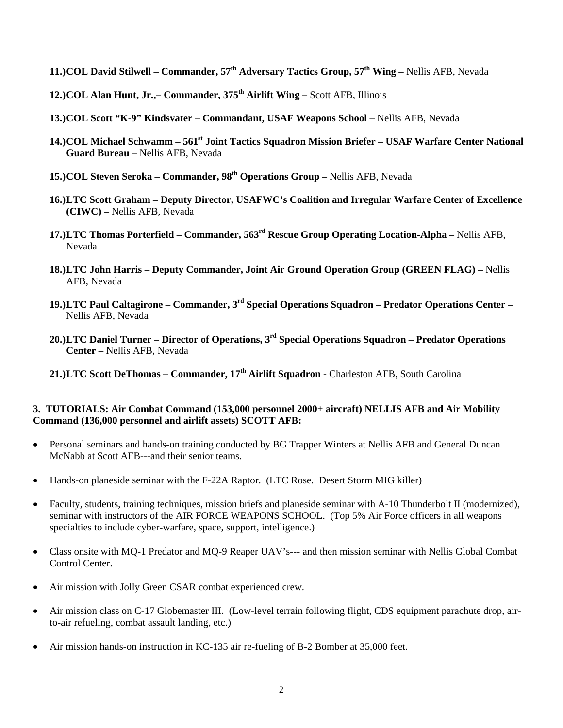- **11.)COL David Stilwell Commander, 57<sup>th</sup> Adversary Tactics Group, 57<sup>th</sup> Wing Nellis AFB, Nevada**
- **12.)COL Alan Hunt, Jr.,– Commander, 375<sup>th</sup> Airlift Wing Scott AFB, Illinois**
- **13.)COL Scott "K-9" Kindsvater Commandant, USAF Weapons School** Nellis AFB, Nevada
- **14.)COL Michael Schwamm 561st Joint Tactics Squadron Mission Briefer USAF Warfare Center National Guard Bureau –** Nellis AFB, Nevada
- **15.)COL Steven Seroka Commander, 98<sup>th</sup> Operations Group Nellis AFB, Nevada**
- **16.)LTC Scott Graham Deputy Director, USAFWC's Coalition and Irregular Warfare Center of Excellence (CIWC) –** Nellis AFB, Nevada
- **17.)LTC Thomas Porterfield Commander, 563rd Rescue Group Operating Location-Alpha** Nellis AFB, Nevada
- **18.)LTC John Harris Deputy Commander, Joint Air Ground Operation Group (GREEN FLAG)** Nellis AFB, Nevada
- **19.)LTC Paul Caltagirone Commander, 3 rd Special Operations Squadron Predator Operations Center**  Nellis AFB, Nevada
- **20.)LTC Daniel Turner Director of Operations, 3rd Special Operations Squadron Predator Operations Center –** Nellis AFB, Nevada
- 21.)LTC Scott DeThomas Commander, 17<sup>th</sup> Airlift Squadron Charleston AFB, South Carolina

#### **3. TUTORIALS: Air Combat Command (153,000 personnel 2000+ aircraft) NELLIS AFB and Air Mobility Command (136,000 personnel and airlift assets) SCOTT AFB:**

- Personal seminars and hands-on training conducted by BG Trapper Winters at Nellis AFB and General Duncan McNabb at Scott AFB---and their senior teams.
- Hands-on planeside seminar with the F-22A Raptor. (LTC Rose. Desert Storm MIG killer)
- Faculty, students, training techniques, mission briefs and planeside seminar with A-10 Thunderbolt II (modernized), seminar with instructors of the AIR FORCE WEAPONS SCHOOL. (Top 5% Air Force officers in all weapons specialties to include cyber-warfare, space, support, intelligence.)
- Class onsite with MQ-1 Predator and MQ-9 Reaper UAV's--- and then mission seminar with Nellis Global Combat Control Center.
- Air mission with Jolly Green CSAR combat experienced crew.
- Air mission class on C-17 Globemaster III. (Low-level terrain following flight, CDS equipment parachute drop, airto-air refueling, combat assault landing, etc.)
- Air mission hands-on instruction in KC-135 air re-fueling of B-2 Bomber at 35,000 feet.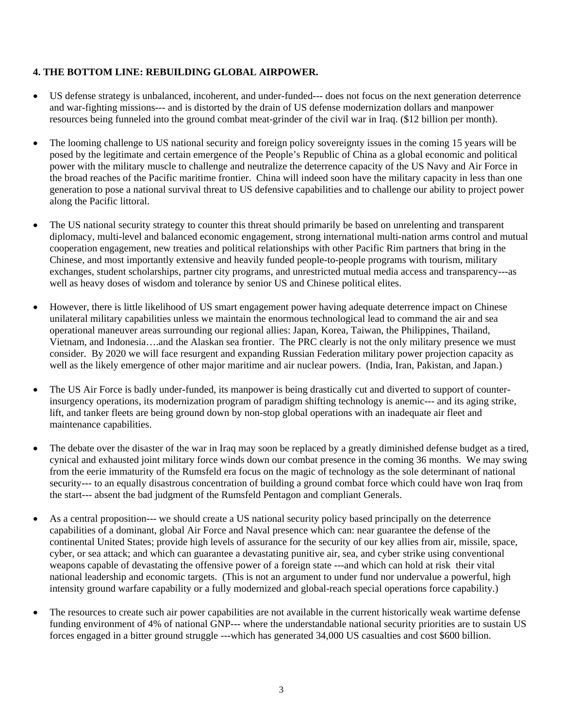#### **4. THE BOTTOM LINE: REBUILDING GLOBAL AIRPOWER.**

- US defense strategy is unbalanced, incoherent, and under-funded--- does not focus on the next generation deterrence and war-fighting missions--- and is distorted by the drain of US defense modernization dollars and manpower resources being funneled into the ground combat meat-grinder of the civil war in Iraq. (\$12 billion per month).
- The looming challenge to US national security and foreign policy sovereignty issues in the coming 15 years will be posed by the legitimate and certain emergence of the People's Republic of China as a global economic and political power with the military muscle to challenge and neutralize the deterrence capacity of the US Navy and Air Force in the broad reaches of the Pacific maritime frontier. China will indeed soon have the military capacity in less than one generation to pose a national survival threat to US defensive capabilities and to challenge our ability to project power along the Pacific littoral.
- The US national security strategy to counter this threat should primarily be based on unrelenting and transparent diplomacy, multi-level and balanced economic engagement, strong international multi-nation arms control and mutual cooperation engagement, new treaties and political relationships with other Pacific Rim partners that bring in the Chinese, and most importantly extensive and heavily funded people-to-people programs with tourism, military exchanges, student scholarships, partner city programs, and unrestricted mutual media access and transparency---as well as heavy doses of wisdom and tolerance by senior US and Chinese political elites.
- However, there is little likelihood of US smart engagement power having adequate deterrence impact on Chinese unilateral military capabilities unless we maintain the enormous technological lead to command the air and sea operational maneuver areas surrounding our regional allies: Japan, Korea, Taiwan, the Philippines, Thailand, Vietnam, and Indonesia….and the Alaskan sea frontier. The PRC clearly is not the only military presence we must consider. By 2020 we will face resurgent and expanding Russian Federation military power projection capacity as well as the likely emergence of other major maritime and air nuclear powers. (India, Iran, Pakistan, and Japan.)
- The US Air Force is badly under-funded, its manpower is being drastically cut and diverted to support of counterinsurgency operations, its modernization program of paradigm shifting technology is anemic--- and its aging strike, lift, and tanker fleets are being ground down by non-stop global operations with an inadequate air fleet and maintenance capabilities.
- The debate over the disaster of the war in Iraq may soon be replaced by a greatly diminished defense budget as a tired, cynical and exhausted joint military force winds down our combat presence in the coming 36 months. We may swing from the eerie immaturity of the Rumsfeld era focus on the magic of technology as the sole determinant of national security--- to an equally disastrous concentration of building a ground combat force which could have won Iraq from the start--- absent the bad judgment of the Rumsfeld Pentagon and compliant Generals.
- As a central proposition—- we should create a US national security policy based principally on the deterrence capabilities of a dominant, global Air Force and Naval presence which can: near guarantee the defense of the continental United States; provide high levels of assurance for the security of our key allies from air, missile, space, cyber, or sea attack; and which can guarantee a devastating punitive air, sea, and cyber strike using conventional weapons capable of devastating the offensive power of a foreign state ---and which can hold at risk their vital national leadership and economic targets. (This is not an argument to under fund nor undervalue a powerful, high intensity ground warfare capability or a fully modernized and global-reach special operations force capability.)
- The resources to create such air power capabilities are not available in the current historically weak wartime defense funding environment of 4% of national GNP--- where the understandable national security priorities are to sustain US forces engaged in a bitter ground struggle ---which has generated 34,000 US casualties and cost \$600 billion.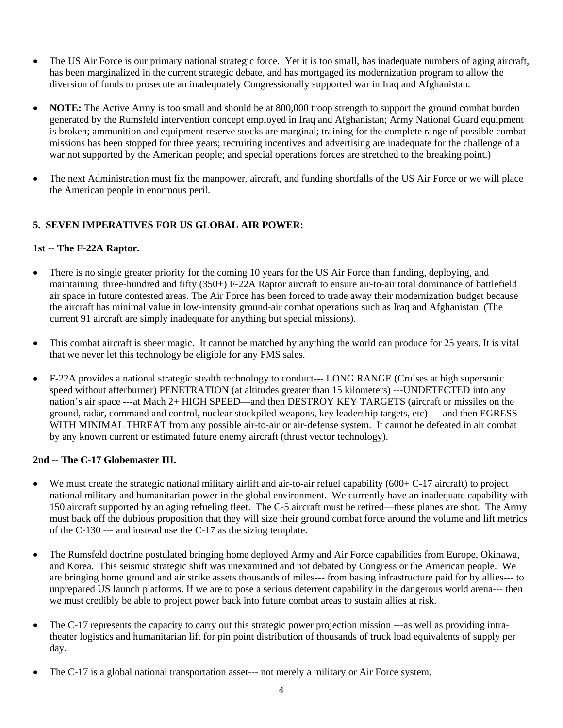- The US Air Force is our primary national strategic force. Yet it is too small, has inadequate numbers of aging aircraft, has been marginalized in the current strategic debate, and has mortgaged its modernization program to allow the diversion of funds to prosecute an inadequately Congressionally supported war in Iraq and Afghanistan.
- **NOTE:** The Active Army is too small and should be at 800,000 troop strength to support the ground combat burden generated by the Rumsfeld intervention concept employed in Iraq and Afghanistan; Army National Guard equipment is broken; ammunition and equipment reserve stocks are marginal; training for the complete range of possible combat missions has been stopped for three years; recruiting incentives and advertising are inadequate for the challenge of a war not supported by the American people; and special operations forces are stretched to the breaking point.)
- The next Administration must fix the manpower, aircraft, and funding shortfalls of the US Air Force or we will place the American people in enormous peril.

# **5. SEVEN IMPERATIVES FOR US GLOBAL AIR POWER:**

## **1st -- The F-22A Raptor.**

- There is no single greater priority for the coming 10 years for the US Air Force than funding, deploying, and maintaining three-hundred and fifty (350+) F-22A Raptor aircraft to ensure air-to-air total dominance of battlefield air space in future contested areas. The Air Force has been forced to trade away their modernization budget because the aircraft has minimal value in low-intensity ground-air combat operations such as Iraq and Afghanistan. (The current 91 aircraft are simply inadequate for anything but special missions).
- This combat aircraft is sheer magic. It cannot be matched by anything the world can produce for 25 years. It is vital that we never let this technology be eligible for any FMS sales.
- F-22A provides a national strategic stealth technology to conduct--- LONG RANGE (Cruises at high supersonic speed without afterburner) PENETRATION (at altitudes greater than 15 kilometers) ---UNDETECTED into any nation's air space ---at Mach 2+ HIGH SPEED—and then DESTROY KEY TARGETS (aircraft or missiles on the ground, radar, command and control, nuclear stockpiled weapons, key leadership targets, etc) --- and then EGRESS WITH MINIMAL THREAT from any possible air-to-air or air-defense system. It cannot be defeated in air combat by any known current or estimated future enemy aircraft (thrust vector technology).

## **2nd -- The C-17 Globemaster III.**

- We must create the strategic national military airlift and air-to-air refuel capability  $(600 + C^{-17})$  aircraft) to project national military and humanitarian power in the global environment. We currently have an inadequate capability with 150 aircraft supported by an aging refueling fleet. The C-5 aircraft must be retired—these planes are shot. The Army must back off the dubious proposition that they will size their ground combat force around the volume and lift metrics of the C-130 --- and instead use the C-17 as the sizing template.
- The Rumsfeld doctrine postulated bringing home deployed Army and Air Force capabilities from Europe, Okinawa, and Korea. This seismic strategic shift was unexamined and not debated by Congress or the American people. We are bringing home ground and air strike assets thousands of miles--- from basing infrastructure paid for by allies--- to unprepared US launch platforms. If we are to pose a serious deterrent capability in the dangerous world arena--- then we must credibly be able to project power back into future combat areas to sustain allies at risk.
- The C-17 represents the capacity to carry out this strategic power projection mission ---as well as providing intratheater logistics and humanitarian lift for pin point distribution of thousands of truck load equivalents of supply per day.
- The C-17 is a global national transportation asset--- not merely a military or Air Force system.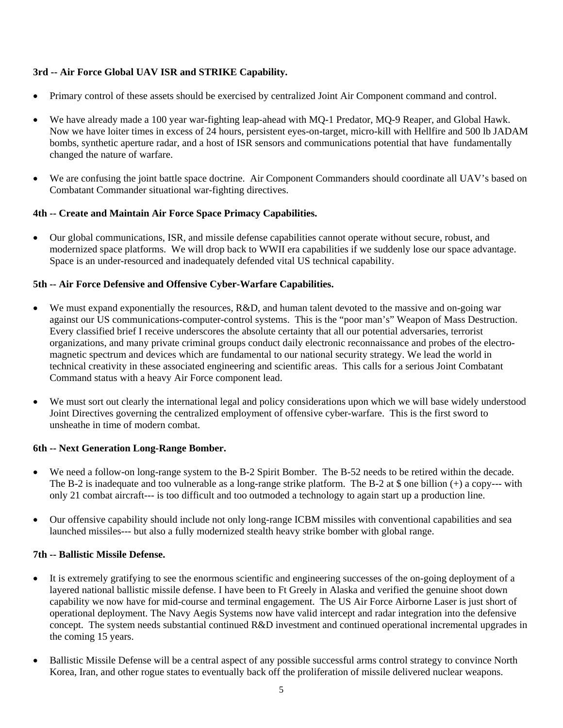# **3rd -- Air Force Global UAV ISR and STRIKE Capability.**

- Primary control of these assets should be exercised by centralized Joint Air Component command and control.
- We have already made a 100 year war-fighting leap-ahead with MQ-1 Predator, MQ-9 Reaper, and Global Hawk. Now we have loiter times in excess of 24 hours, persistent eyes-on-target, micro-kill with Hellfire and 500 lb JADAM bombs, synthetic aperture radar, and a host of ISR sensors and communications potential that have fundamentally changed the nature of warfare.
- We are confusing the joint battle space doctrine. Air Component Commanders should coordinate all UAV's based on Combatant Commander situational war-fighting directives.

## **4th -- Create and Maintain Air Force Space Primacy Capabilities.**

• Our global communications, ISR, and missile defense capabilities cannot operate without secure, robust, and modernized space platforms. We will drop back to WWII era capabilities if we suddenly lose our space advantage. Space is an under-resourced and inadequately defended vital US technical capability.

#### **5th -- Air Force Defensive and Offensive Cyber-Warfare Capabilities.**

- We must expand exponentially the resources, R&D, and human talent devoted to the massive and on-going war against our US communications-computer-control systems. This is the "poor man's" Weapon of Mass Destruction. Every classified brief I receive underscores the absolute certainty that all our potential adversaries, terrorist organizations, and many private criminal groups conduct daily electronic reconnaissance and probes of the electromagnetic spectrum and devices which are fundamental to our national security strategy. We lead the world in technical creativity in these associated engineering and scientific areas. This calls for a serious Joint Combatant Command status with a heavy Air Force component lead.
- We must sort out clearly the international legal and policy considerations upon which we will base widely understood Joint Directives governing the centralized employment of offensive cyber-warfare. This is the first sword to unsheathe in time of modern combat.

## **6th -- Next Generation Long-Range Bomber.**

- We need a follow-on long-range system to the B-2 Spirit Bomber. The B-52 needs to be retired within the decade. The B-2 is inadequate and too vulnerable as a long-range strike platform. The B-2 at  $\frac{1}{2}$  one billion (+) a copy--- with only 21 combat aircraft--- is too difficult and too outmoded a technology to again start up a production line.
- Our offensive capability should include not only long-range ICBM missiles with conventional capabilities and sea launched missiles--- but also a fully modernized stealth heavy strike bomber with global range.

#### **7th -- Ballistic Missile Defense.**

- It is extremely gratifying to see the enormous scientific and engineering successes of the on-going deployment of a layered national ballistic missile defense. I have been to Ft Greely in Alaska and verified the genuine shoot down capability we now have for mid-course and terminal engagement. The US Air Force Airborne Laser is just short of operational deployment. The Navy Aegis Systems now have valid intercept and radar integration into the defensive concept. The system needs substantial continued R&D investment and continued operational incremental upgrades in the coming 15 years.
- Ballistic Missile Defense will be a central aspect of any possible successful arms control strategy to convince North Korea, Iran, and other rogue states to eventually back off the proliferation of missile delivered nuclear weapons.